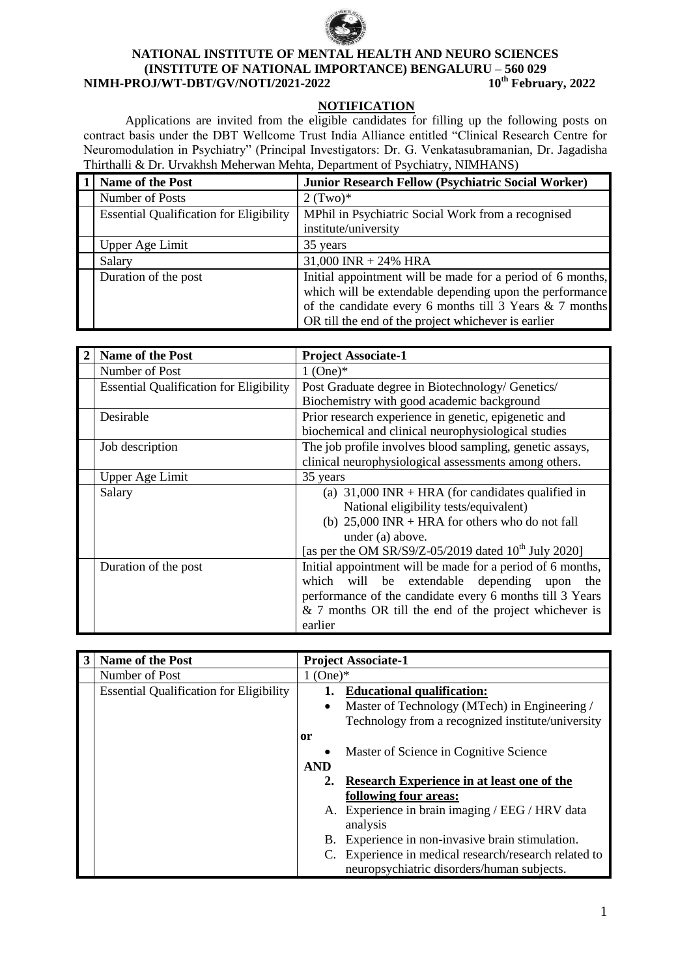

# **NATIONAL INSTITUTE OF MENTAL HEALTH AND NEURO SCIENCES (INSTITUTE OF NATIONAL IMPORTANCE) BENGALURU – 560 029 NIMH-PROJ/WT-DBT/GV/NOTI/2021-2022**

### **NOTIFICATION**

Applications are invited from the eligible candidates for filling up the following posts on contract basis under the DBT Wellcome Trust India Alliance entitled "Clinical Research Centre for Neuromodulation in Psychiatry" (Principal Investigators: Dr. G. Venkatasubramanian, Dr. Jagadisha Thirthalli & Dr. Urvakhsh Meherwan Mehta, Department of Psychiatry, NIMHANS)

| Name of the Post                               | <b>Junior Research Fellow (Psychiatric Social Worker)</b>                                                                                                                                                                                 |
|------------------------------------------------|-------------------------------------------------------------------------------------------------------------------------------------------------------------------------------------------------------------------------------------------|
| Number of Posts                                | $2$ (Two)*                                                                                                                                                                                                                                |
| <b>Essential Qualification for Eligibility</b> | MPhil in Psychiatric Social Work from a recognised<br>institute/university                                                                                                                                                                |
| Upper Age Limit                                | 35 years                                                                                                                                                                                                                                  |
| Salary                                         | $31,000$ INR + 24% HRA                                                                                                                                                                                                                    |
| Duration of the post                           | Initial appointment will be made for a period of 6 months,<br>which will be extendable depending upon the performance<br>of the candidate every 6 months till $3$ Years & 7 months<br>OR till the end of the project whichever is earlier |

| <b>Name of the Post</b>                        | <b>Project Associate-1</b>                                 |  |  |
|------------------------------------------------|------------------------------------------------------------|--|--|
| Number of Post                                 | $1$ (One) $*$                                              |  |  |
| <b>Essential Qualification for Eligibility</b> | Post Graduate degree in Biotechnology/ Genetics/           |  |  |
|                                                | Biochemistry with good academic background                 |  |  |
| Desirable                                      | Prior research experience in genetic, epigenetic and       |  |  |
|                                                | biochemical and clinical neurophysiological studies        |  |  |
| Job description                                | The job profile involves blood sampling, genetic assays,   |  |  |
|                                                | clinical neurophysiological assessments among others.      |  |  |
| <b>Upper Age Limit</b>                         | 35 years                                                   |  |  |
| Salary                                         | (a) $31,000$ INR + HRA (for candidates qualified in        |  |  |
|                                                | National eligibility tests/equivalent)                     |  |  |
|                                                | (b) $25,000$ INR + HRA for others who do not fall          |  |  |
|                                                | under (a) above.                                           |  |  |
|                                                | [as per the OM SR/S9/Z-05/2019 dated $10^{th}$ July 2020]  |  |  |
| Duration of the post                           | Initial appointment will be made for a period of 6 months, |  |  |
|                                                | which<br>will be extendable depending upon<br>the          |  |  |
|                                                | performance of the candidate every 6 months till 3 Years   |  |  |
|                                                | $& 7$ months OR till the end of the project whichever is   |  |  |
|                                                | earlier                                                    |  |  |

| <b>Name of the Post</b>                        | <b>Project Associate-1</b>                      |                                                       |  |
|------------------------------------------------|-------------------------------------------------|-------------------------------------------------------|--|
| Number of Post                                 | $1$ (One) $*$                                   |                                                       |  |
| <b>Essential Qualification for Eligibility</b> |                                                 | 1. Educational qualification:                         |  |
|                                                | ٠                                               | Master of Technology (MTech) in Engineering /         |  |
|                                                |                                                 | Technology from a recognized institute/university     |  |
|                                                | <sub>or</sub>                                   |                                                       |  |
|                                                |                                                 | Master of Science in Cognitive Science                |  |
|                                                | <b>AND</b>                                      |                                                       |  |
|                                                |                                                 | 2. Research Experience in at least one of the         |  |
|                                                |                                                 | following four areas:                                 |  |
|                                                | A. Experience in brain imaging / EEG / HRV data |                                                       |  |
|                                                |                                                 | analysis                                              |  |
|                                                |                                                 | B. Experience in non-invasive brain stimulation.      |  |
|                                                |                                                 | C. Experience in medical research/research related to |  |
|                                                |                                                 | neuropsychiatric disorders/human subjects.            |  |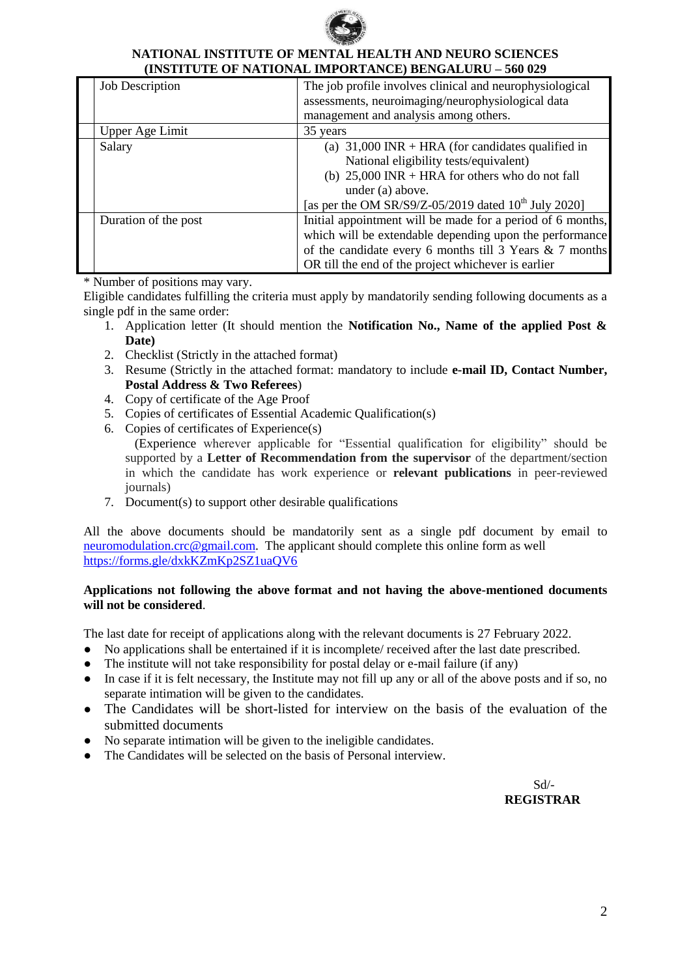

# **NATIONAL INSTITUTE OF MENTAL HEALTH AND NEURO SCIENCES (INSTITUTE OF NATIONAL IMPORTANCE) BENGALURU – 560 029**

| <b>Job Description</b> | The job profile involves clinical and neurophysiological<br>assessments, neuroimaging/neurophysiological data |  |  |
|------------------------|---------------------------------------------------------------------------------------------------------------|--|--|
|                        | management and analysis among others.                                                                         |  |  |
| Upper Age Limit        | 35 years                                                                                                      |  |  |
| Salary                 | (a) $31,000$ INR + HRA (for candidates qualified in                                                           |  |  |
|                        | National eligibility tests/equivalent)                                                                        |  |  |
|                        | (b) $25,000$ INR + HRA for others who do not fall                                                             |  |  |
|                        | under (a) above.                                                                                              |  |  |
|                        | [as per the OM SR/S9/Z-05/2019 dated $10^{th}$ July 2020]                                                     |  |  |
| Duration of the post   | Initial appointment will be made for a period of 6 months,                                                    |  |  |
|                        | which will be extendable depending upon the performance                                                       |  |  |
|                        | of the candidate every 6 months till 3 Years & 7 months                                                       |  |  |
|                        | OR till the end of the project whichever is earlier                                                           |  |  |

\* Number of positions may vary.

Eligible candidates fulfilling the criteria must apply by mandatorily sending following documents as a single pdf in the same order:

- 1. Application letter (It should mention the **Notification No., Name of the applied Post & Date)**
- 2. Checklist (Strictly in the attached format)
- 3. Resume (Strictly in the attached format: mandatory to include **e-mail ID, Contact Number, Postal Address & Two Referees**)
- 4. Copy of certificate of the Age Proof
- 5. Copies of certificates of Essential Academic Qualification(s)
- 6. Copies of certificates of Experience(s)

 (Experience wherever applicable for "Essential qualification for eligibility" should be supported by a **Letter of Recommendation from the supervisor** of the department/section in which the candidate has work experience or **relevant publications** in peer-reviewed journals)

7. Document(s) to support other desirable qualifications

All the above documents should be mandatorily sent as a single pdf document by email to neuromodulation.crc@gmail.com. The applicant should complete this online form as well https://forms.gle/dxkKZmKp2SZ1uaQV6

# **Applications not following the above format and not having the above-mentioned documents will not be considered**.

The last date for receipt of applications along with the relevant documents is 27 February 2022.

- No applications shall be entertained if it is incomplete/ received after the last date prescribed.
- The institute will not take responsibility for postal delay or e-mail failure (if any)
- In case if it is felt necessary, the Institute may not fill up any or all of the above posts and if so, no separate intimation will be given to the candidates.
- The Candidates will be short-listed for interview on the basis of the evaluation of the submitted documents
- No separate intimation will be given to the ineligible candidates.
- The Candidates will be selected on the basis of Personal interview.

 Sd/- **REGISTRAR**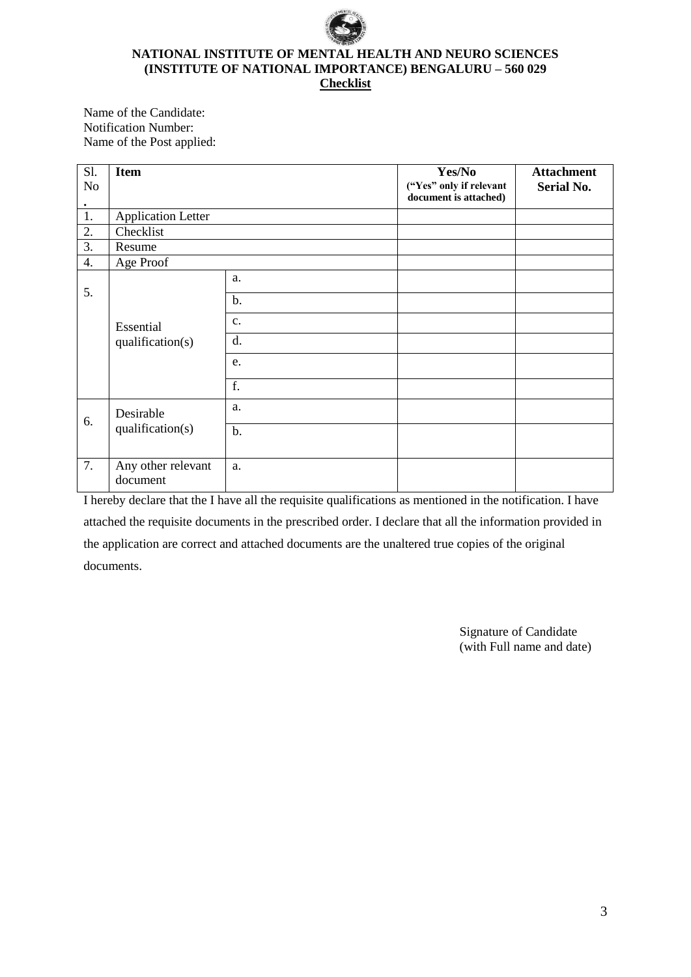

#### **NATIONAL INSTITUTE OF MENTAL HEALTH AND NEURO SCIENCES (INSTITUTE OF NATIONAL IMPORTANCE) BENGALURU – 560 029 Checklist**

Name of the Candidate: Notification Number: Name of the Post applied:

| Sl.              | <b>Item</b>                    |               | Yes/No                                           | <b>Attachment</b> |
|------------------|--------------------------------|---------------|--------------------------------------------------|-------------------|
| No<br>$\bullet$  |                                |               | ("Yes" only if relevant<br>document is attached) | <b>Serial No.</b> |
| 1.               | <b>Application Letter</b>      |               |                                                  |                   |
| 2.               | Checklist                      |               |                                                  |                   |
| 3.               | Resume                         |               |                                                  |                   |
| $\overline{4}$ . | Age Proof                      |               |                                                  |                   |
|                  | Essential<br>qualification(s)  | a.            |                                                  |                   |
| 5.               |                                | $b$ .         |                                                  |                   |
|                  |                                | $C_{\bullet}$ |                                                  |                   |
|                  |                                | d.            |                                                  |                   |
|                  |                                | e.            |                                                  |                   |
|                  |                                | f.            |                                                  |                   |
| 6.               | Desirable<br>qualification(s)  | a.            |                                                  |                   |
|                  |                                | b.            |                                                  |                   |
| $\overline{7}$ . | Any other relevant<br>document | a.            |                                                  |                   |

I hereby declare that the I have all the requisite qualifications as mentioned in the notification. I have attached the requisite documents in the prescribed order. I declare that all the information provided in the application are correct and attached documents are the unaltered true copies of the original documents.

> Signature of Candidate (with Full name and date)